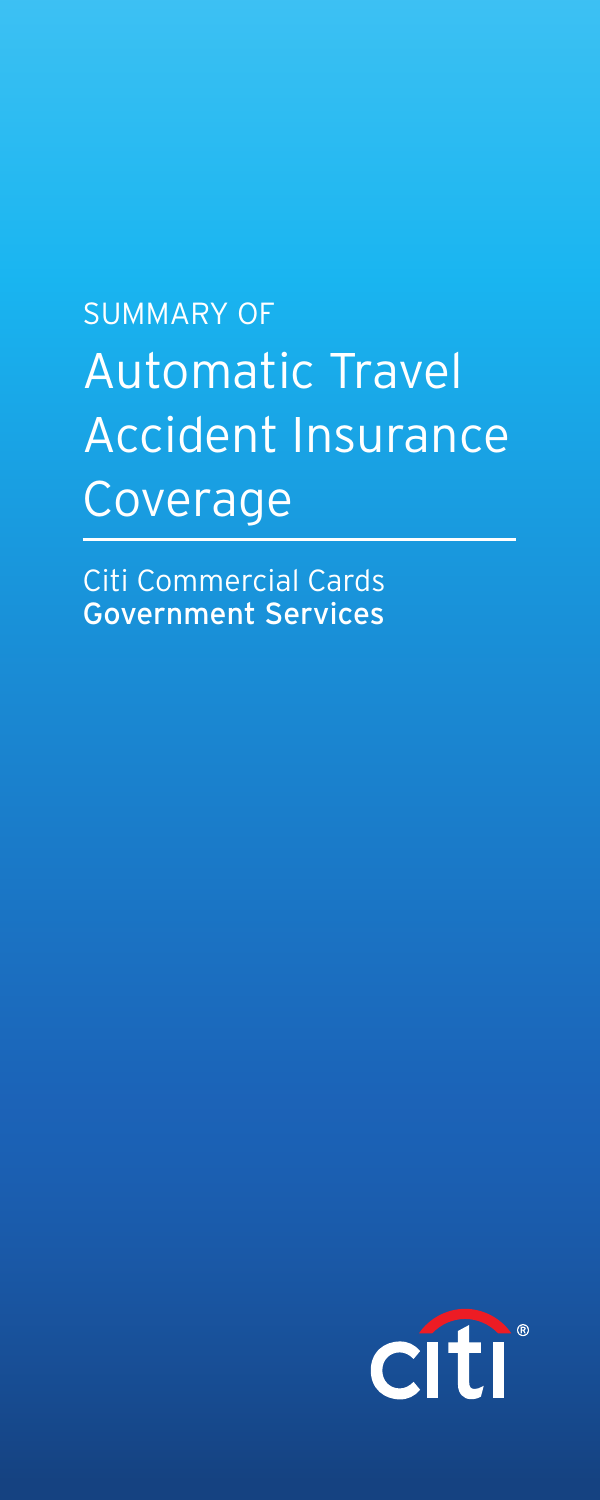# SUMMARY OF Automatic Travel Accident Insurance Coverage

Citi Commercial Cards Government Services

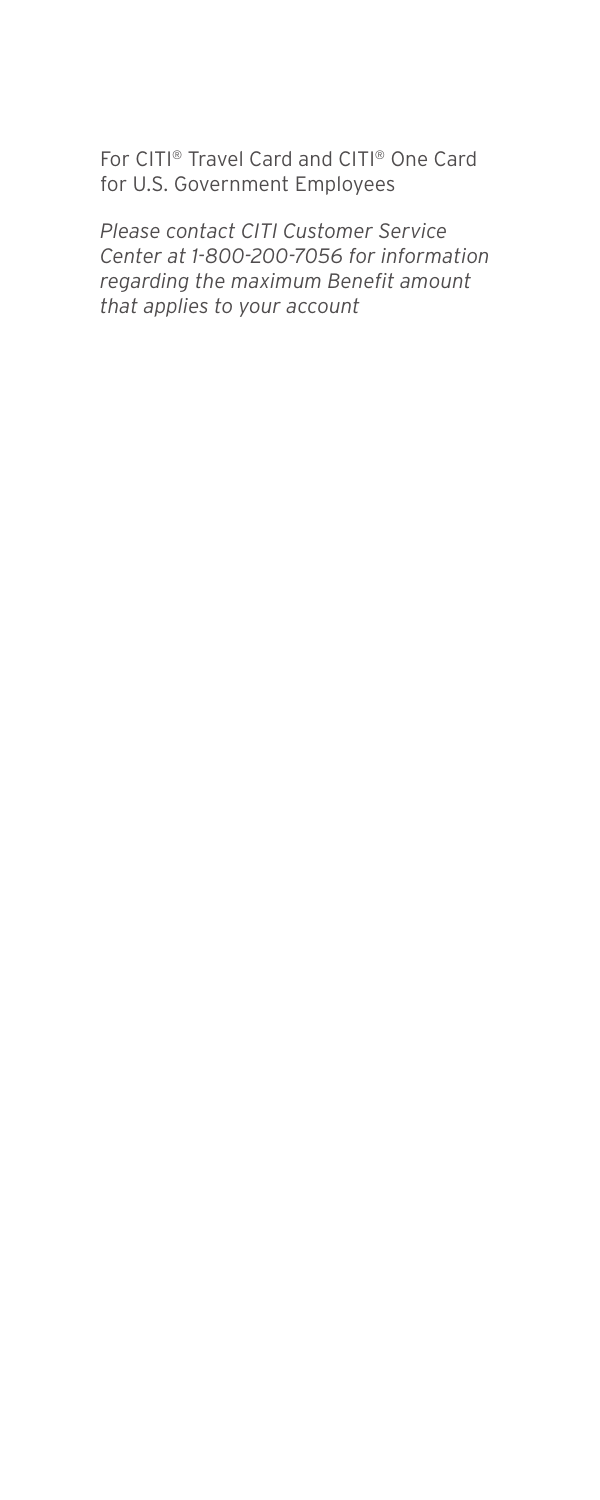For CITI® Travel Card and CITI® One Card for U.S. Government Employees

*Please contact CITI Customer Service Center at 1-800-200-7056 for information regarding the maximum Benefit amount that applies to your account*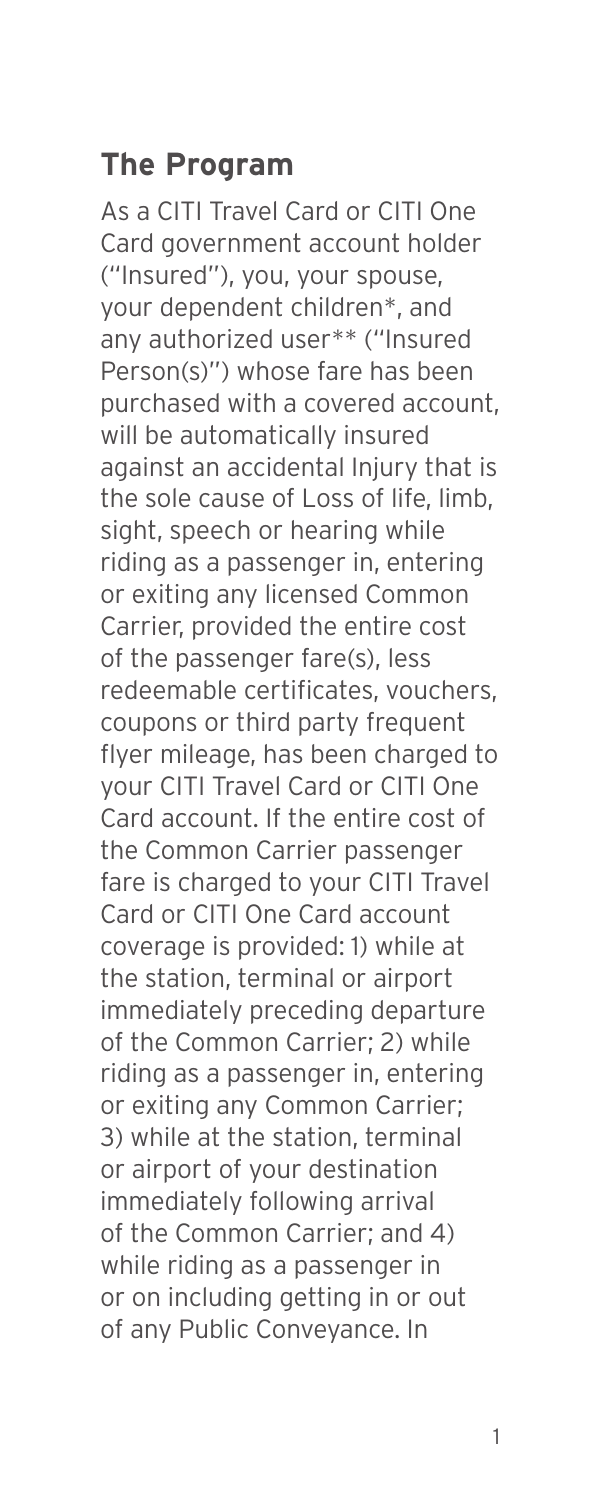### **The Program**

As a CITI Travel Card or CITI One Card government account holder ("Insured"), you, your spouse, your dependent children\*, and any authorized user\*\* ("Insured Person(s)") whose fare has been purchased with a covered account, will be automatically insured against an accidental Injury that is the sole cause of Loss of life, limb, sight, speech or hearing while riding as a passenger in, entering or exiting any licensed Common Carrier, provided the entire cost of the passenger fare(s), less redeemable certificates, vouchers, coupons or third party frequent flyer mileage, has been charged to your CITI Travel Card or CITI One Card account. If the entire cost of the Common Carrier passenger fare is charged to your CITI Travel Card or CITI One Card account coverage is provided: 1) while at the station, terminal or airport immediately preceding departure of the Common Carrier; 2) while riding as a passenger in, entering or exiting any Common Carrier; 3) while at the station, terminal or airport of your destination immediately following arrival of the Common Carrier; and 4) while riding as a passenger in or on including getting in or out of any Public Conveyance. In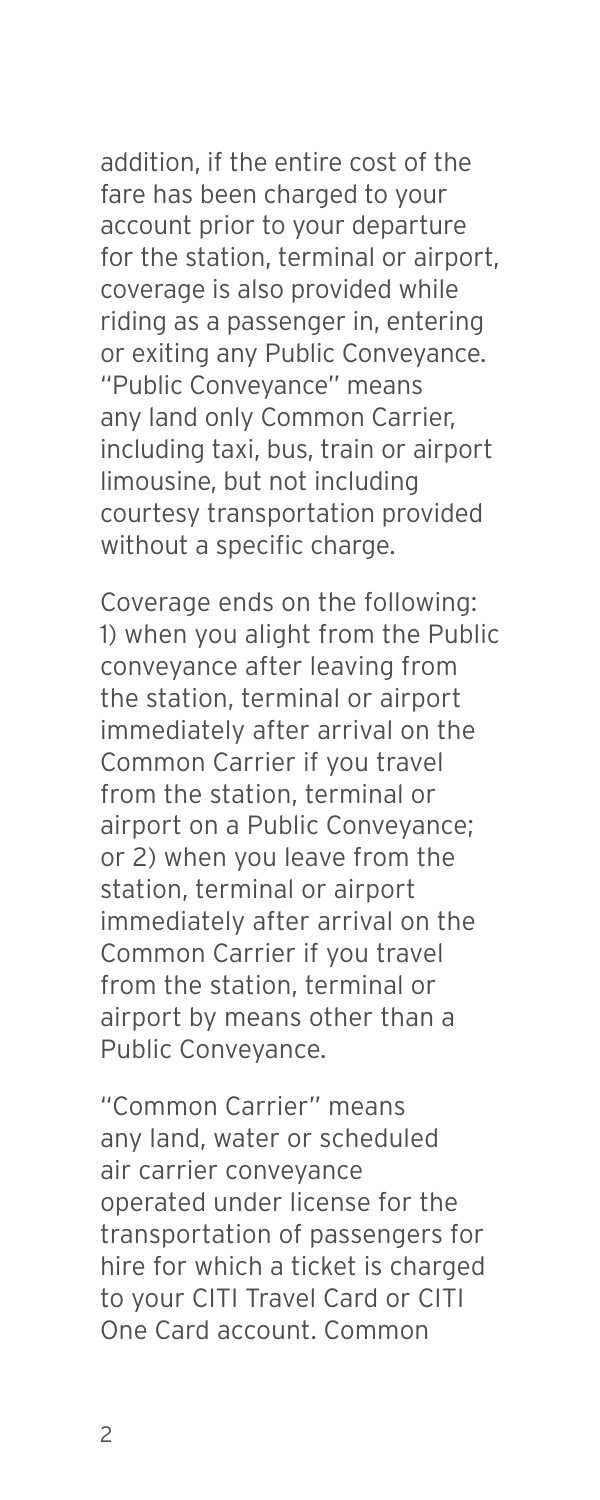addition, if the entire cost of the fare has been charged to your account prior to your departure for the station, terminal or airport, coverage is also provided while riding as a passenger in, entering or exiting any Public Conveyance. "Public Conveyance" means any land only Common Carrier, including taxi, bus, train or airport limousine, but not including courtesy transportation provided without a specific charge.

Coverage ends on the following: 1) when you alight from the Public conveyance after leaving from the station, terminal or airport immediately after arrival on the Common Carrier if you travel from the station, terminal or airport on a Public Conveyance; or 2) when you leave from the station, terminal or airport immediately after arrival on the Common Carrier if you travel from the station, terminal or airport by means other than a Public Conveyance.

"Common Carrier" means any land, water or scheduled air carrier conveyance operated under license for the transportation of passengers for hire for which a ticket is charged to your CITI Travel Card or CITI One Card account. Common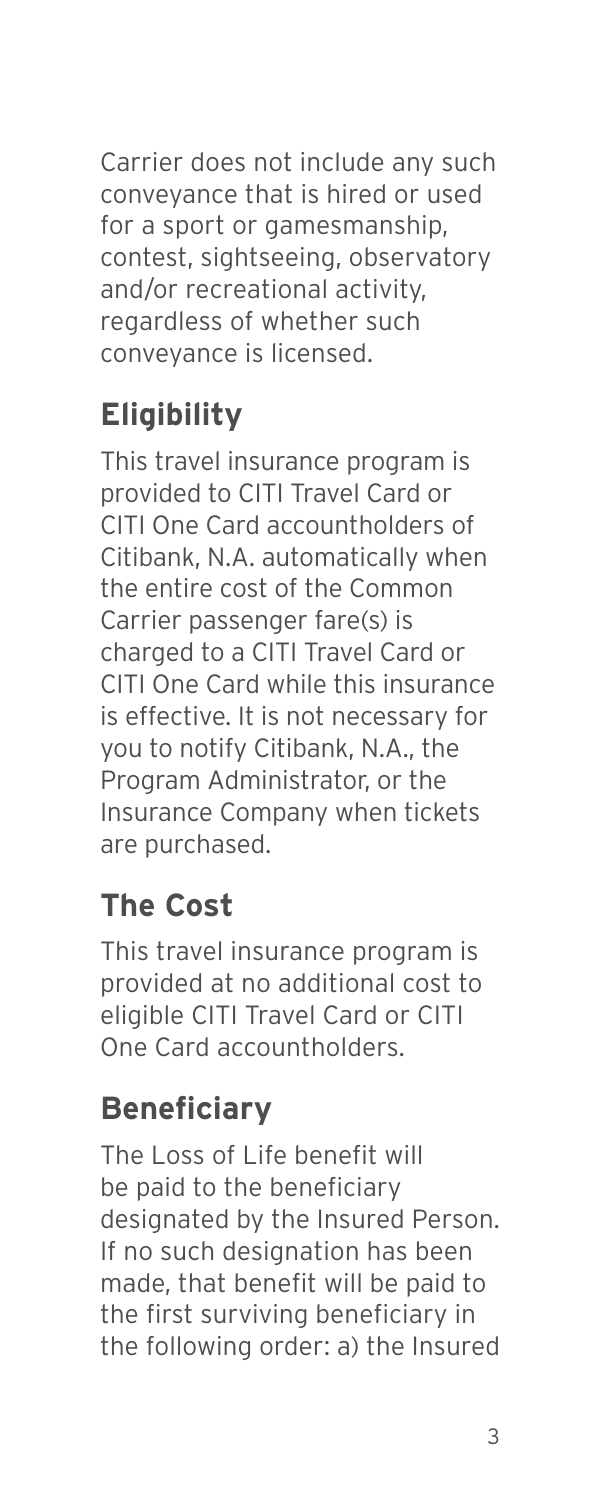Carrier does not include any such conveyance that is hired or used for a sport or gamesmanship. contest, sightseeing, observatory and/or recreational activity, regardless of whether such conveyance is licensed.

## **Eligibility**

This travel insurance program is provided to CITI Travel Card or CITI One Card accountholders of Citibank, N.A. automatically when the entire cost of the Common Carrier passenger fare(s) is charged to a CITI Travel Card or CITI One Card while this insurance is effective. It is not necessary for you to notify Citibank, N.A., the Program Administrator, or the Insurance Company when tickets are purchased.

## **The Cost**

This travel insurance program is provided at no additional cost to eligible CITI Travel Card or CITI One Card accountholders.

## **Beneficiary**

The Loss of Life benefit will be paid to the beneficiary designated by the Insured Person. If no such designation has been made, that benefit will be paid to the first surviving beneficiary in the following order: a) the Insured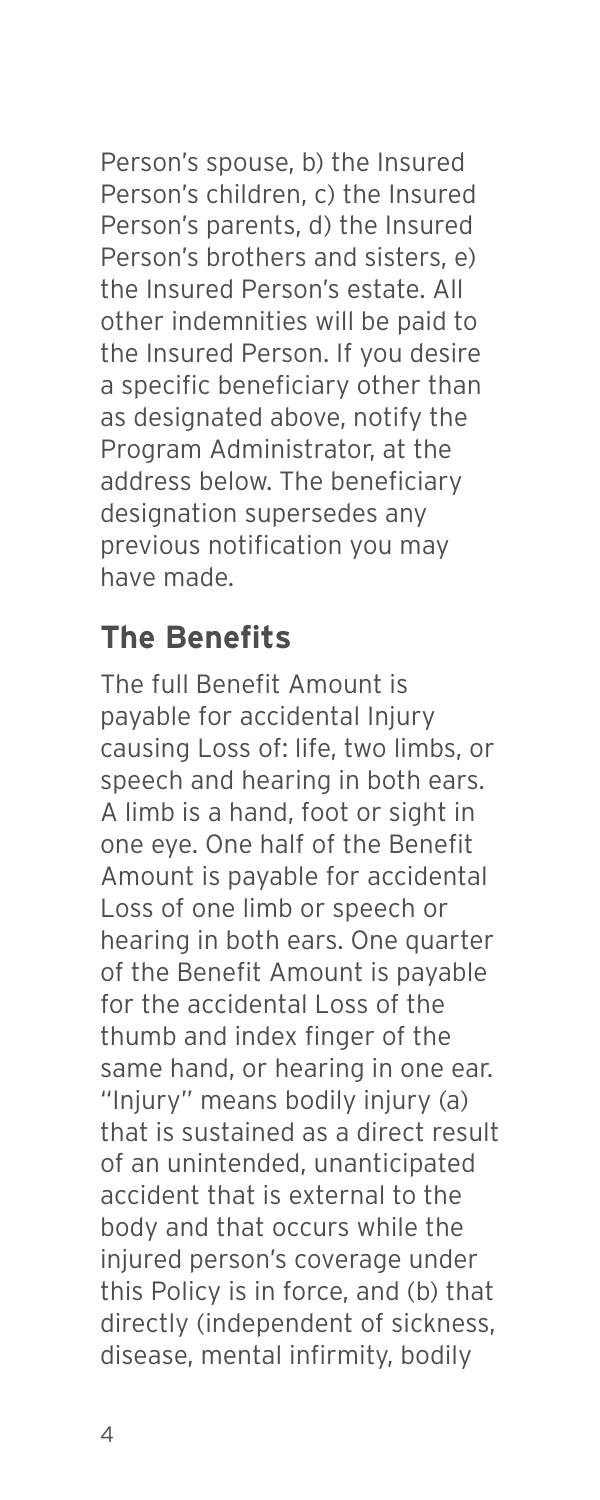Person's spouse, b) the Insured Person's children, c) the Insured Person's parents, d) the Insured Person's brothers and sisters, e) the Insured Person's estate. All other indemnities will be paid to the Insured Person. If you desire a specific beneficiary other than as designated above, notify the Program Administrator, at the address below. The beneficiary designation supersedes any previous notification you may have made.

### **The Benefits**

The full Benefit Amount is payable for accidental Injury causing Loss of: life, two limbs, or speech and hearing in both ears. A limb is a hand, foot or sight in one eye. One half of the Benefit Amount is payable for accidental Loss of one limb or speech or hearing in both ears. One quarter of the Benefit Amount is payable for the accidental Loss of the thumb and index finger of the same hand, or hearing in one ear. "Injury" means bodily injury (a) that is sustained as a direct result of an unintended, unanticipated accident that is external to the body and that occurs while the injured person's coverage under this Policy is in force, and (b) that directly (independent of sickness, disease, mental infirmity, bodily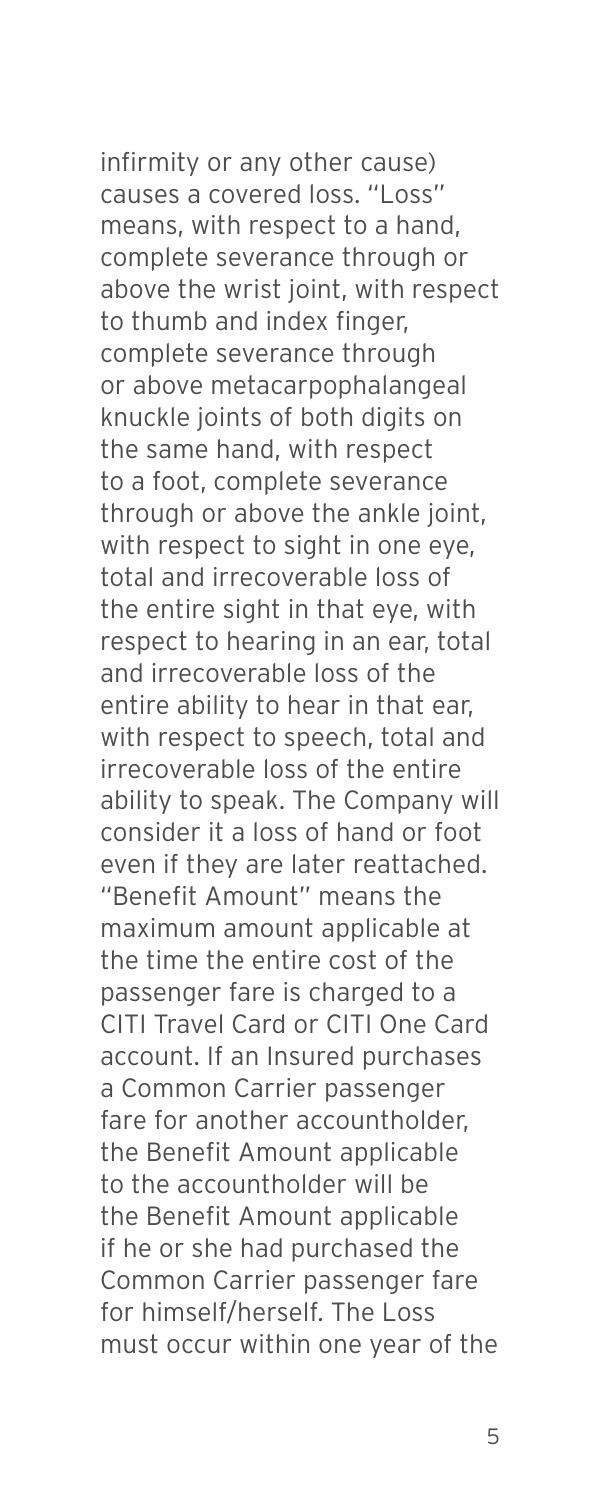infirmity or any other cause) causes a covered loss. "Loss" means, with respect to a hand, complete severance through or above the wrist joint, with respect to thumb and index finger, complete severance through or above metacarpophalangeal knuckle joints of both digits on the same hand, with respect to a foot, complete severance through or above the ankle joint, with respect to sight in one eye, total and irrecoverable loss of the entire sight in that eye, with respect to hearing in an ear, total and irrecoverable loss of the entire ability to hear in that ear, with respect to speech, total and

irrecoverable loss of the entire ability to speak. The Company will consider it a loss of hand or foot even if they are later reattached. "Benefit Amount" means the maximum amount applicable at the time the entire cost of the passenger fare is charged to a CITI Travel Card or CITI One Card account. If an Insured purchases a Common Carrier passenger fare for another accountholder, the Benefit Amount applicable to the accountholder will be the Benefit Amount applicable if he or she had purchased the Common Carrier passenger fare for himself/herself. The Loss must occur within one year of the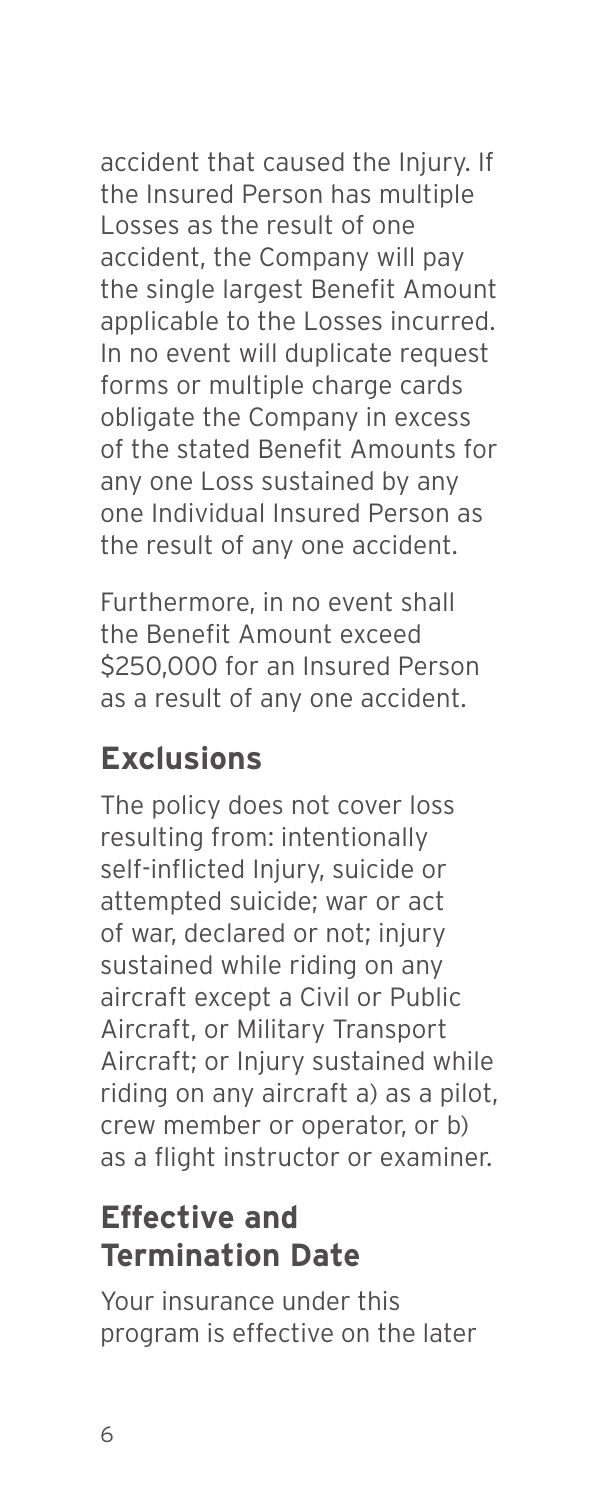accident that caused the Injury. If the Insured Person has multiple Losses as the result of one accident, the Company will pay the single largest Benefit Amount applicable to the Losses incurred. In no event will duplicate request forms or multiple charge cards obligate the Company in excess of the stated Benefit Amounts for any one Loss sustained by any one Individual Insured Person as the result of any one accident.

Furthermore, in no event shall the Benefit Amount exceed \$250,000 for an Insured Person as a result of any one accident.

## **Exclusions**

The policy does not cover loss resulting from: intentionally self-inflicted Injury, suicide or attempted suicide; war or act of war, declared or not; injury sustained while riding on any aircraft except a Civil or Public Aircraft, or Military Transport Aircraft; or Injury sustained while riding on any aircraft a) as a pilot, crew member or operator, or b) as a flight instructor or examiner.

## **Effective and Termination Date**

Your insurance under this program is effective on the later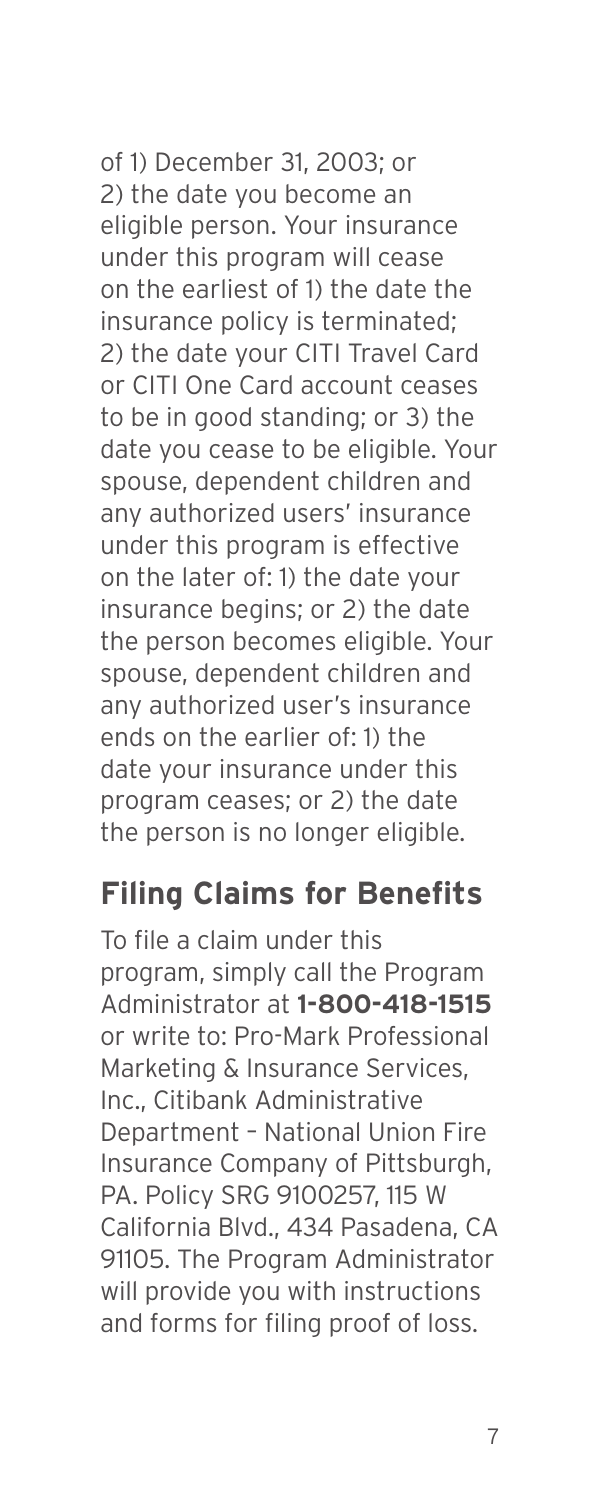of 1) December 31, 2003; or 2) the date you become an eligible person. Your insurance under this program will cease on the earliest of 1) the date the insurance policy is terminated; 2) the date your CITI Travel Card or CITI One Card account ceases to be in good standing; or 3) the date you cease to be eligible. Your spouse, dependent children and any authorized users' insurance under this program is effective on the later of: 1) the date your insurance begins; or 2) the date the person becomes eligible. Your spouse, dependent children and any authorized user's insurance ends on the earlier of: 1) the date your insurance under this program ceases; or 2) the date the person is no longer eligible.

#### **Filing Claims for Benefits**

To file a claim under this program, simply call the Program Administrator at **1-800-418-1515** or write to: Pro-Mark Professional Marketing & Insurance Services, Inc., Citibank Administrative Department – National Union Fire Insurance Company of Pittsburgh, PA. Policy SRG 9100257, 115 W California Blvd., 434 Pasadena, CA 91105. The Program Administrator will provide you with instructions and forms for filing proof of loss.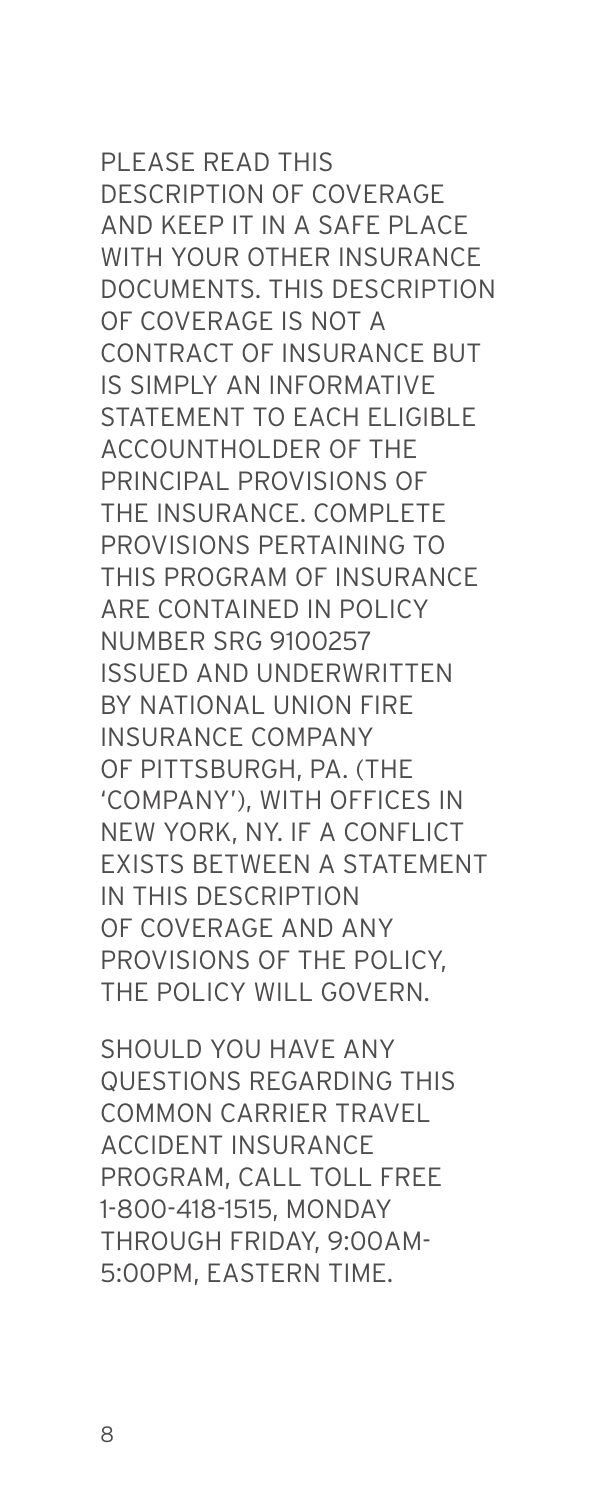#### PLEASE READ THIS DESCRIPTION OF COVERAGE AND KEEP IT IN A SAFE PLACE WITH YOUR OTHER INSURANCE DOCUMENTS. THIS DESCRIPTION OF COVERAGE IS NOT A CONTRACT OF INSURANCE BUT IS SIMPLY AN INFORMATIVE STATEMENT TO EACH ELIGIBLE ACCOUNTHOLDER OF THE PRINCIPAL PROVISIONS OF THE INSURANCE, COMPLETE PROVISIONS PERTAINING TO THIS PROGRAM OF INSURANCE ARE CONTAINED IN POLICY NUMBER SRG 9100257 ISSUED AND UNDERWRITTEN BY NATIONAL UNION FIRE INSURANCE COMPANY OF PITTSBURGH, PA. (THE 'COMPANY'), WITH OFFICES IN NEW YORK, NY. IF A CONFLICT EXISTS BETWEEN A STATEMENT IN THIS DESCRIPTION OF COVERAGE AND ANY PROVISIONS OF THE POLICY, THE POLICY WILL GOVERN.

SHOULD YOU HAVE ANY QUESTIONS REGARDING THIS COMMON CARRIER TRAVEL ACCIDENT INSURANCE PROGRAM, CALL TOLL FREE 1-800-418-1515, MONDAY THROUGH FRIDAY, 9:00AM-5:00PM, EASTERN TIME.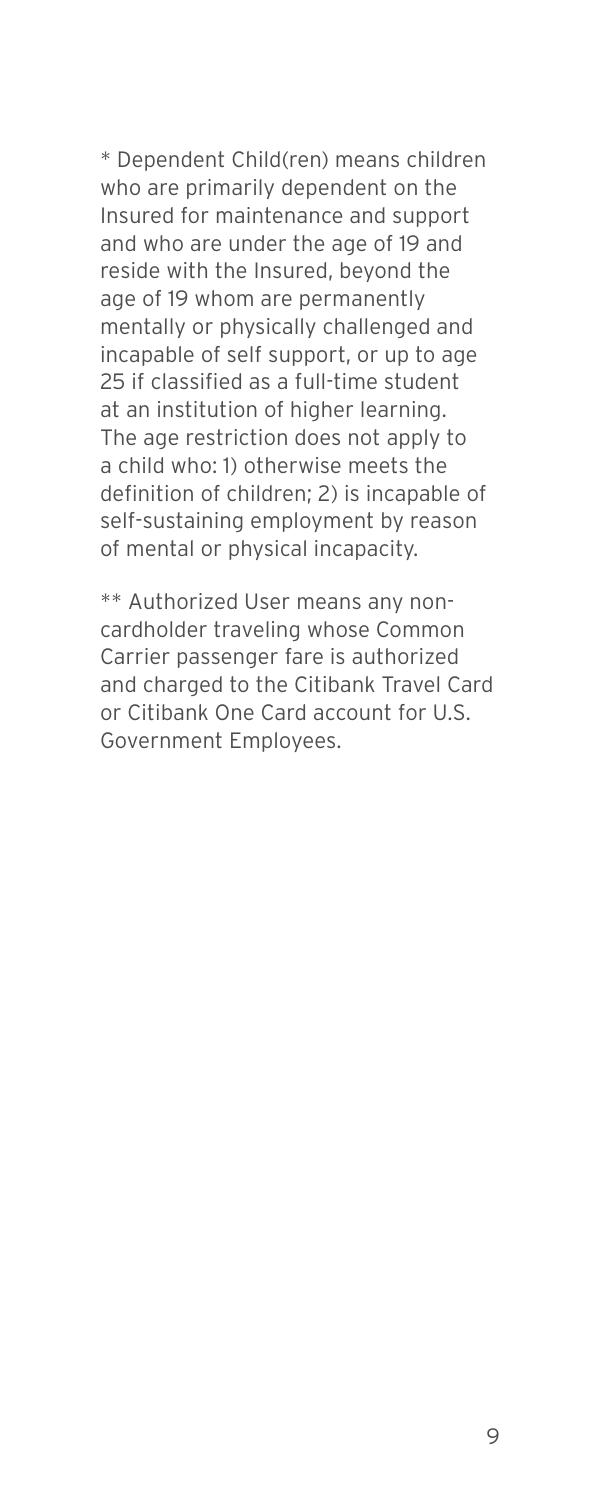\* Dependent Child(ren) means children who are primarily dependent on the Insured for maintenance and support and who are under the age of 19 and reside with the Insured, beyond the age of 19 whom are permanently mentally or physically challenged and incapable of self support, or up to age 25 if classified as a full-time student at an institution of higher learning. The age restriction does not apply to a child who: 1) otherwise meets the definition of children; 2) is incapable of self-sustaining employment by reason of mental or physical incapacity.

\*\* Authorized User means any noncardholder traveling whose Common Carrier passenger fare is authorized and charged to the Citibank Travel Card or Citibank One Card account for U.S. Government Employees.